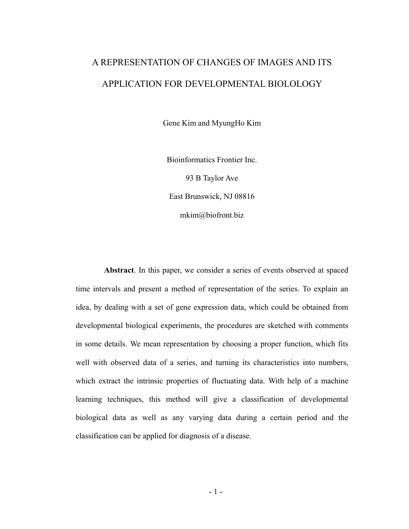# A REPRESENTATION OF CHANGES OF IMAGES AND ITS APPLICATION FOR DEVELOPMENTAL BIOLOLOGY

Gene Kim and MyungHo Kim

Bioinformatics Frontier Inc. 93 B Taylor Ave East Brunswick, NJ 08816 mkim@biofront.biz

**Abstract**. In this paper, we consider a series of events observed at spaced time intervals and present a method of representation of the series. To explain an idea, by dealing with a set of gene expression data, which could be obtained from developmental biological experiments, the procedures are sketched with comments in some details. We mean representation by choosing a proper function, which fits well with observed data of a series, and turning its characteristics into numbers, which extract the intrinsic properties of fluctuating data. With help of a machine learning techniques, this method will give a classification of developmental biological data as well as any varying data during a certain period and the classification can be applied for diagnosis of a disease.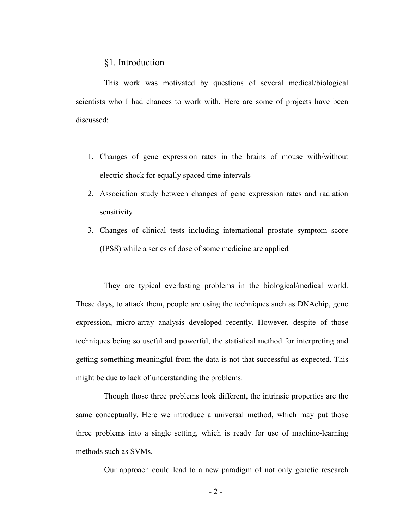## §1. Introduction

This work was motivated by questions of several medical/biological scientists who I had chances to work with. Here are some of projects have been discussed:

- 1. Changes of gene expression rates in the brains of mouse with/without electric shock for equally spaced time intervals
- 2. Association study between changes of gene expression rates and radiation sensitivity
- 3. Changes of clinical tests including international prostate symptom score (IPSS) while a series of dose of some medicine are applied

They are typical everlasting problems in the biological/medical world. These days, to attack them, people are using the techniques such as DNAchip, gene expression, micro-array analysis developed recently. However, despite of those techniques being so useful and powerful, the statistical method for interpreting and getting something meaningful from the data is not that successful as expected. This might be due to lack of understanding the problems.

Though those three problems look different, the intrinsic properties are the same conceptually. Here we introduce a universal method, which may put those three problems into a single setting, which is ready for use of machine-learning methods such as SVMs.

Our approach could lead to a new paradigm of not only genetic research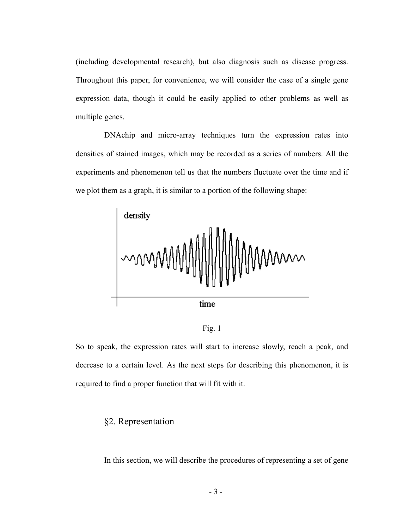(including developmental research), but also diagnosis such as disease progress. Throughout this paper, for convenience, we will consider the case of a single gene expression data, though it could be easily applied to other problems as well as multiple genes.

DNAchip and micro-array techniques turn the expression rates into densities of stained images, which may be recorded as a series of numbers. All the experiments and phenomenon tell us that the numbers fluctuate over the time and if we plot them as a graph, it is similar to a portion of the following shape:





So to speak, the expression rates will start to increase slowly, reach a peak, and decrease to a certain level. As the next steps for describing this phenomenon, it is required to find a proper function that will fit with it.

## §2. Representation

In this section, we will describe the procedures of representing a set of gene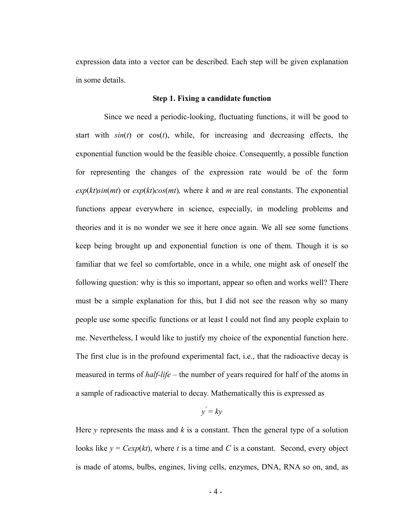expression data into a vector can be described. Each step will be given explanation in some details.

#### **Step 1. Fixing a candidate function**

Since we need a periodic-looking, fluctuating functions, it will be good to start with  $sin(t)$  or  $cos(t)$ , while, for increasing and decreasing effects, the exponential function would be the feasible choice. Consequently, a possible function for representing the changes of the expression rate would be of the form  $exp(kt)sin(mt)$  or  $exp(kt)cos(mt)$ , where *k* and *m* are real constants. The exponential functions appear everywhere in science, especially, in modeling problems and theories and it is no wonder we see it here once again. We all see some functions keep being brought up and exponential function is one of them. Though it is so familiar that we feel so comfortable, once in a while, one might ask of oneself the following question: why is this so important, appear so often and works well? There must be a simple explanation for this, but I did not see the reason why so many people use some specific functions or at least I could not find any people explain to me. Nevertheless, I would like to justify my choice of the exponential function here. The first clue is in the profound experimental fact, i.e., that the radioactive decay is measured in terms of *half-life* – the number of years required for half of the atoms in a sample of radioactive material to decay. Mathematically this is expressed as

$$
y' = ky
$$

Here  $y$  represents the mass and  $k$  is a constant. Then the general type of a solution looks like  $y = C \exp(kt)$ , where *t* is a time and *C* is a constant. Second, every object is made of atoms, bulbs, engines, living cells, enzymes, DNA, RNA so on, and, as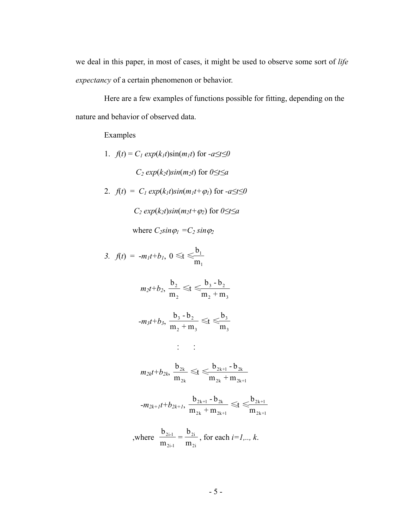we deal in this paper, in most of cases, it might be used to observe some sort of *life expectancy* of a certain phenomenon or behavior.

Here are a few examples of functions possible for fitting, depending on the nature and behavior of observed data.

Examples

\n- 1. 
$$
f(t) = C_1 \exp(k_1 t) \sin(m_1 t)
$$
 for  $-a \le t \le 0$
\n- $C_2 \exp(k_2 t) \sin(m_2 t)$  for  $0 \le t \le a$
\n- 2.  $f(t) = C_1 \exp(k_1 t) \sin(m_1 t + \varphi_1)$  for  $-a \le t \le 0$
\n- $C_2 \exp(k_2 t) \sin(m_2 t + \varphi_2)$  for  $0 \le t \le a$  where  $C_2 \sin \varphi_1 = C_2 \sin \varphi_2$
\n

3. 
$$
f(t) = -m_1t + b_1, 0 \leq t \leq \frac{b_1}{m_1}
$$

$$
m_2t+b_2, \frac{b_2}{m_2} \leq t \leq \frac{b_3-b_2}{m_2+m_3}
$$

$$
-m_3t+b_3, \ \frac{b_3-b_2}{m_2+m_3} \leq t \leq \frac{b_3}{m_3}
$$

$$
\mathbb{R}^n \times \mathbb{R}^n \times \mathbb{R}^n
$$

$$
m_{2k}t + b_{2k}, \frac{b_{2k}}{m_{2k}} \leq t \leq \frac{b_{2k+1} - b_{2k}}{m_{2k} + m_{2k+1}}
$$

$$
-m_{2k+1}t+b_{2k+1}, \frac{b_{2k+1}-b_{2k}}{m_{2k}+m_{2k+1}} \leq t \leq b_{2k+1} \frac{b_{2k+1}}{m_{2k+1}}
$$

where 
$$
\frac{b_{2i-1}}{m_{2i-1}} = \frac{b_{2i}}{m_{2i}}
$$
, for each  $i=1,.., k$ .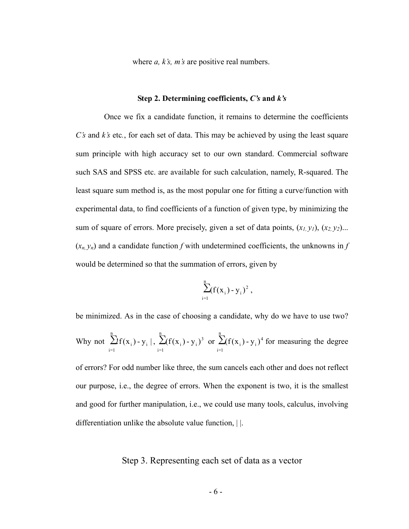where *a, k's, m's* are positive real numbers.

#### **Step 2. Determining coefficients,** *C's* **and** *k's*

Once we fix a candidate function, it remains to determine the coefficients *C's* and *k's* etc*.*, for each set of data. This may be achieved by using the least square sum principle with high accuracy set to our own standard. Commercial software such SAS and SPSS etc. are available for such calculation, namely, R-squared. The least square sum method is, as the most popular one for fitting a curve/function with experimental data, to find coefficients of a function of given type, by minimizing the sum of square of errors. More precisely, given a set of data points,  $(x_1, y_1)$ ,  $(x_2, y_2)$ ...  $(x_n, y_n)$  and a candidate function *f* with undetermined coefficients, the unknowns in *f* would be determined so that the summation of errors, given by

$$
\sum_{i=1}^{n} (f(x_i) - y_i)^2 ,
$$

be minimized. As in the case of choosing a candidate, why do we have to use two? Why not  $\sum_{i=1}^{n} f(x_i) - y_i$ ,  $\sum_{i=1}^{n} (f(x_i) - y_i)^3$  or  $\sum_{i=1}^{n} (f(x_i) - y_i)^4$  for measuring the degree of errors? For odd number like three, the sum cancels each other and does not reflect our purpose, i.e., the degree of errors. When the exponent is two, it is the smallest and good for further manipulation, i.e., we could use many tools, calculus, involving differentiation unlike the absolute value function, | |. i=1  $\sum_{i}^{\infty}$  i  $|y_{i}|$ ,  $\sum_{i}^{\infty}$ i=1  $(f(x_i) - y_i)^3$  or  $\sum_{i=1}^{n}$ i=1  $(f(x_i) - y_i)^4$ 

# Step 3. Representing each set of data as a vector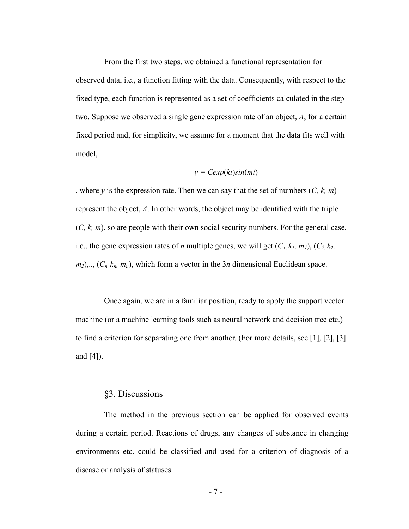From the first two steps, we obtained a functional representation for observed data, i.e., a function fitting with the data. Consequently, with respect to the fixed type, each function is represented as a set of coefficients calculated in the step two. Suppose we observed a single gene expression rate of an object, *A*, for a certain fixed period and, for simplicity, we assume for a moment that the data fits well with model,

$$
y = Cexp(kt)sin(mt)
$$

, where *y* is the expression rate. Then we can say that the set of numbers (*C, k, m*) represent the object, *A*. In other words, the object may be identified with the triple (*C, k, m*), so are people with their own social security numbers. For the general case, i.e., the gene expression rates of *n* multiple genes, we will get  $(C_1, k_1, m_1)$ ,  $(C_2, k_2,$  $m_2$ ,..,  $(C_n, k_n, m_n)$ , which form a vector in the 3*n* dimensional Euclidean space.

Once again, we are in a familiar position, ready to apply the support vector machine (or a machine learning tools such as neural network and decision tree etc.) to find a criterion for separating one from another. (For more details, see [1], [2], [3] and [4]).

# §3. Discussions

The method in the previous section can be applied for observed events during a certain period. Reactions of drugs, any changes of substance in changing environments etc. could be classified and used for a criterion of diagnosis of a disease or analysis of statuses.

- 7 -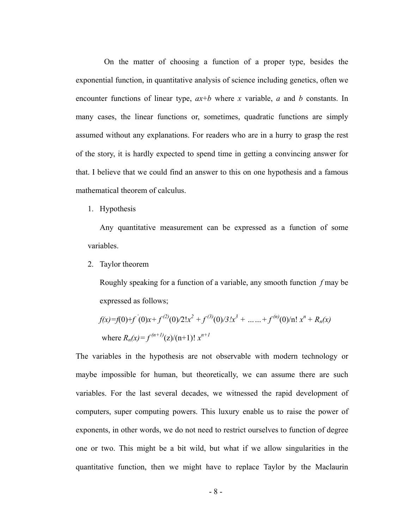On the matter of choosing a function of a proper type, besides the exponential function, in quantitative analysis of science including genetics, often we encounter functions of linear type, *ax*+*b* where *x* variable, *a* and *b* constants. In many cases, the linear functions or, sometimes, quadratic functions are simply assumed without any explanations. For readers who are in a hurry to grasp the rest of the story, it is hardly expected to spend time in getting a convincing answer for that. I believe that we could find an answer to this on one hypothesis and a famous mathematical theorem of calculus.

1. Hypothesis

Any quantitative measurement can be expressed as a function of some variables.

2. Taylor theorem

Roughly speaking for a function of a variable, any smooth function *f* may be expressed as follows;

$$
f(x)=f(0)+f'(0)x+f^{(2)}(0)/2!x^2+f^{(3)}(0)/3!x^3+\ldots+f^{(n)}(0)/n!x^n+R_n(x)
$$
  
where  $R_n(x)=f^{(n+1)}(z)/(n+1)!$  x<sup>n+1</sup>

The variables in the hypothesis are not observable with modern technology or maybe impossible for human, but theoretically, we can assume there are such variables. For the last several decades, we witnessed the rapid development of computers, super computing powers. This luxury enable us to raise the power of exponents, in other words, we do not need to restrict ourselves to function of degree one or two. This might be a bit wild, but what if we allow singularities in the quantitative function, then we might have to replace Taylor by the Maclaurin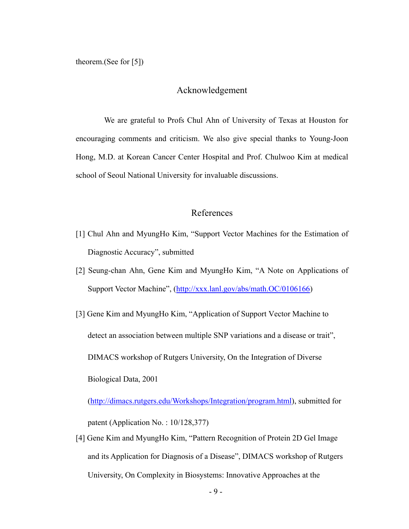theorem.(See for [5])

## Acknowledgement

We are grateful to Profs Chul Ahn of University of Texas at Houston for encouraging comments and criticism. We also give special thanks to Young-Joon Hong, M.D. at Korean Cancer Center Hospital and Prof. Chulwoo Kim at medical school of Seoul National University for invaluable discussions.

## References

- [1] Chul Ahn and MyungHo Kim, "Support Vector Machines for the Estimation of Diagnostic Accuracy", submitted
- [2] Seung-chan Ahn, Gene Kim and MyungHo Kim, "A Note on Applications of Support Vector Machine", (<http://xxx.lanl.gov/abs/math.OC/0106166>)
- [3] Gene Kim and MyungHo Kim, "Application of Support Vector Machine to detect an association between multiple SNP variations and a disease or trait", DIMACS workshop of Rutgers University, On the Integration of Diverse Biological Data, 2001

[\(http://dimacs.rutgers.edu/Workshops/Integration/program.html\)](http://dimacs.rutgers.edu/Workshops/Integration/program.html), submitted for patent (Application No. : 10/128,377)

[4] Gene Kim and MyungHo Kim, "Pattern Recognition of Protein 2D Gel Image and its Application for Diagnosis of a Disease", DIMACS workshop of Rutgers University, On Complexity in Biosystems: Innovative Approaches at the